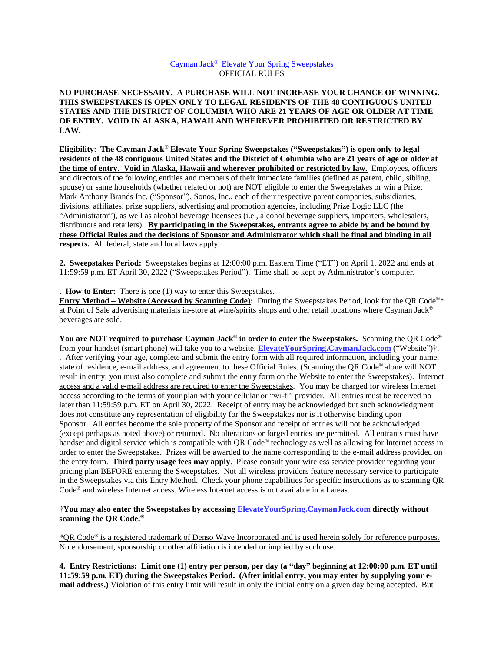## Cayman Jack® Elevate Your Spring Sweepstakes OFFICIAL RULES

**NO PURCHASE NECESSARY. A PURCHASE WILL NOT INCREASE YOUR CHANCE OF WINNING. THIS SWEEPSTAKES IS OPEN ONLY TO LEGAL RESIDENTS OF THE 48 CONTIGUOUS UNITED STATES AND THE DISTRICT OF COLUMBIA WHO ARE 21 YEARS OF AGE OR OLDER AT TIME OF ENTRY. VOID IN ALASKA, HAWAII AND WHEREVER PROHIBITED OR RESTRICTED BY LAW.** 

**Eligibility**: **The Cayman Jack® Elevate Your Spring Sweepstakes ("Sweepstakes") is open only to legal residents of the 48 contiguous United States and the District of Columbia who are 21 years of age or older at the time of entry**. **Void in Alaska, Hawaii and wherever prohibited or restricted by law.** Employees, officers and directors of the following entities and members of their immediate families (defined as parent, child, sibling, spouse) or same households (whether related or not) are NOT eligible to enter the Sweepstakes or win a Prize: Mark Anthony Brands Inc. ("Sponsor"), Sonos, Inc., each of their respective parent companies, subsidiaries, divisions, affiliates, prize suppliers, advertising and promotion agencies, including Prize Logic LLC (the "Administrator"), as well as alcohol beverage licensees (i.e., alcohol beverage suppliers, importers, wholesalers, distributors and retailers). **By participating in the Sweepstakes, entrants agree to abide by and be bound by these Official Rules and the decisions of Sponsor and Administrator which shall be final and binding in all respects.** All federal, state and local laws apply.

**2. Sweepstakes Period:** Sweepstakes begins at 12:00:00 p.m. Eastern Time ("ET") on April 1, 2022 and ends at 11:59:59 p.m. ET April 30, 2022 ("Sweepstakes Period"). Time shall be kept by Administrator's computer.

**. How to Enter:** There is one (1) way to enter this Sweepstakes.

**Entry Method – Website (Accessed by Scanning Code):** During the Sweepstakes Period, look for the QR Code ®\* at Point of Sale advertising materials in-store at wine/spirits shops and other retail locations where Cayman Jack® beverages are sold.

**You are NOT required to purchase Cayman Jack® in order to enter the Sweepstakes.** Scanning the QR Code® from your handset (smart phone) will take you to a website, **ElevateYourSpring.CaymanJack.com** ("Website")†. . After verifying your age, complete and submit the entry form with all required information, including your name, state of residence, e-mail address, and agreement to these Official Rules. (Scanning the QR Code® alone will NOT result in entry; you must also complete and submit the entry form on the Website to enter the Sweepstakes). Internet access and a valid e-mail address are required to enter the Sweepstakes. You may be charged for wireless Internet access according to the terms of your plan with your cellular or "wi-fi" provider. All entries must be received no later than 11:59:59 p.m. ET on April 30, 2022. Receipt of entry may be acknowledged but such acknowledgment does not constitute any representation of eligibility for the Sweepstakes nor is it otherwise binding upon Sponsor. All entries become the sole property of the Sponsor and receipt of entries will not be acknowledged (except perhaps as noted above) or returned. No alterations or forged entries are permitted. All entrants must have handset and digital service which is compatible with QR Code® technology as well as allowing for Internet access in order to enter the Sweepstakes. Prizes will be awarded to the name corresponding to the e-mail address provided on the entry form. **Third party usage fees may apply**. Please consult your wireless service provider regarding your pricing plan BEFORE entering the Sweepstakes. Not all wireless providers feature necessary service to participate in the Sweepstakes via this Entry Method. Check your phone capabilities for specific instructions as to scanning QR Code® and wireless Internet access. Wireless Internet access is not available in all areas.

†**You may also enter the Sweepstakes by accessing ElevateYourSpring.CaymanJack.com directly without scanning the QR Code. ®** 

\*QR Code® is a registered trademark of Denso Wave Incorporated and is used herein solely for reference purposes. No endorsement, sponsorship or other affiliation is intended or implied by such use.

**4. Entry Restrictions: Limit one (1) entry per person, per day (a "day" beginning at 12:00:00 p.m. ET until 11:59:59 p.m. ET) during the Sweepstakes Period. (After initial entry, you may enter by supplying your email address.)** Violation of this entry limit will result in only the initial entry on a given day being accepted. But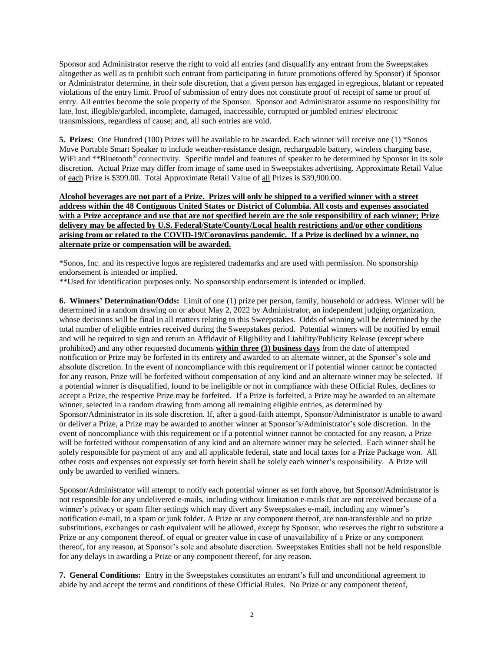Sponsor and Administrator reserve the right to void all entries (and disqualify any entrant from the Sweepstakes altogether as well as to prohibit such entrant from participating in future promotions offered by Sponsor) if Sponsor or Administrator determine, in their sole discretion, that a given person has engaged in egregious, blatant or repeated violations of the entry limit. Proof of submission of entry does not constitute proof of receipt of same or proof of entry. All entries become the sole property of the Sponsor. Sponsor and Administrator assume no responsibility for late, lost, illegible/garbled, incomplete, damaged, inaccessible, corrupted or jumbled entries/ electronic transmissions, regardless of cause; and, all such entries are void.

**5. Prizes:** One Hundred (100) Prizes will be available to be awarded. Each winner will receive one (1) \*Sonos Move Portable Smart Speaker to include weather-resistance design, rechargeable battery, wireless charging base, WiFi and \*\*Bluetooth<sup>®</sup> connectivity. Specific model and features of speaker to be determined by Sponsor in its sole discretion. Actual Prize may differ from image of same used in Sweepstakes advertising. Approximate Retail Value of each Prize is \$399.00. Total Approximate Retail Value of all Prizes is \$39,900.00.

**Alcohol beverages are not part of a Prize. Prizes will only be shipped to a verified winner with a street address within the 48 Contiguous United States or District of Columbia. All costs and expenses associated with a Prize acceptance and use that are not specified herein are the sole responsibility of each winner; Prize delivery may be affected by U.S. Federal/State/County/Local health restrictions and/or other conditions arising from or related to the COVID-19/Coronavirus pandemic. If a Prize is declined by a winner, no alternate prize or compensation will be awarded.** 

\*Sonos, Inc. and its respective logos are registered trademarks and are used with permission. No sponsorship endorsement is intended or implied.

\*\*Used for identification purposes only. No sponsorship endorsement is intended or implied.

**6. Winners' Determination/Odds:** Limit of one (1) prize per person, family, household or address. Winner will be determined in a random drawing on or about May 2, 2022 by Administrator, an independent judging organization, whose decisions will be final in all matters relating to this Sweepstakes. Odds of winning will be determined by the total number of eligible entries received during the Sweepstakes period. Potential winners will be notified by email and will be required to sign and return an Affidavit of Eligibility and Liability/Publicity Release (except where prohibited) and any other requested documents **within three (3) business days** from the date of attempted notification or Prize may be forfeited in its entirety and awarded to an alternate winner, at the Sponsor's sole and absolute discretion. In the event of noncompliance with this requirement or if potential winner cannot be contacted for any reason, Prize will be forfeited without compensation of any kind and an alternate winner may be selected.If a potential winner is disqualified, found to be ineligible or not in compliance with these Official Rules, declines to accept a Prize, the respective Prize may be forfeited. If a Prize is forfeited, a Prize may be awarded to an alternate winner, selected in a random drawing from among all remaining eligible entries, as determined by Sponsor/Administrator in its sole discretion. If, after a good-faith attempt, Sponsor/Administrator is unable to award or deliver a Prize, a Prize may be awarded to another winner at Sponsor's/Administrator's sole discretion. In the event of noncompliance with this requirement or if a potential winner cannot be contacted for any reason, a Prize will be forfeited without compensation of any kind and an alternate winner may be selected. Each winner shall be solely responsible for payment of any and all applicable federal, state and local taxes for a Prize Package won. All other costs and expenses not expressly set forth herein shall be solely each winner's responsibility. A Prize will only be awarded to verified winners.

Sponsor/Administrator will attempt to notify each potential winner as set forth above, but Sponsor/Administrator is not responsible for any undelivered e-mails, including without limitation e-mails that are not received because of a winner's privacy or spam filter settings which may divert any Sweepstakes e-mail, including any winner's notification e-mail, to a spam or junk folder. A Prize or any component thereof, are non-transferable and no prize substitutions, exchanges or cash equivalent will be allowed, except by Sponsor, who reserves the right to substitute a Prize or any component thereof, of equal or greater value in case of unavailability of a Prize or any component thereof, for any reason, at Sponsor's sole and absolute discretion. Sweepstakes Entities shall not be held responsible for any delays in awarding a Prize or any component thereof, for any reason.

**7. General Conditions:** Entry in the Sweepstakes constitutes an entrant's full and unconditional agreement to abide by and accept the terms and conditions of these Official Rules. No Prize or any component thereof,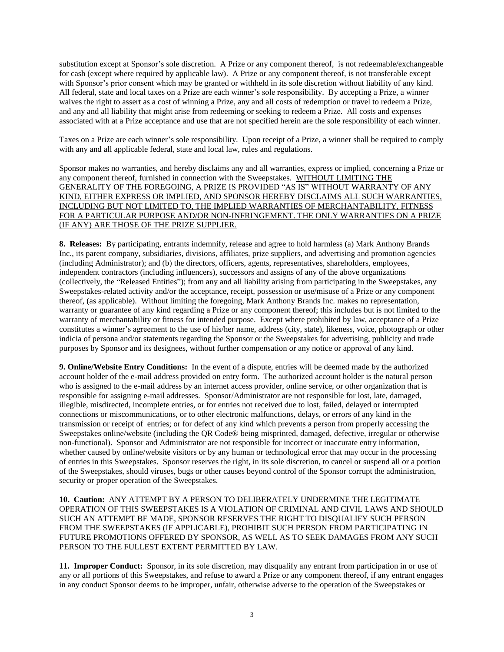substitution except at Sponsor's sole discretion. A Prize or any component thereof, is not redeemable/exchangeable for cash (except where required by applicable law). A Prize or any component thereof, is not transferable except with Sponsor's prior consent which may be granted or withheld in its sole discretion without liability of any kind. All federal, state and local taxes on a Prize are each winner's sole responsibility. By accepting a Prize, a winner waives the right to assert as a cost of winning a Prize, any and all costs of redemption or travel to redeem a Prize, and any and all liability that might arise from redeeming or seeking to redeem a Prize. All costs and expenses associated with at a Prize acceptance and use that are not specified herein are the sole responsibility of each winner.

Taxes on a Prize are each winner's sole responsibility. Upon receipt of a Prize, a winner shall be required to comply with any and all applicable federal, state and local law, rules and regulations.

Sponsor makes no warranties, and hereby disclaims any and all warranties, express or implied, concerning a Prize or any component thereof, furnished in connection with the Sweepstakes. WITHOUT LIMITING THE GENERALITY OF THE FOREGOING, A PRIZE IS PROVIDED "AS IS" WITHOUT WARRANTY OF ANY KIND, EITHER EXPRESS OR IMPLIED, AND SPONSOR HEREBY DISCLAIMS ALL SUCH WARRANTIES, INCLUDING BUT NOT LIMITED TO, THE IMPLIED WARRANTIES OF MERCHANTABILITY, FITNESS FOR A PARTICULAR PURPOSE AND/OR NON-INFRINGEMENT. THE ONLY WARRANTIES ON A PRIZE (IF ANY) ARE THOSE OF THE PRIZE SUPPLIER.

**8. Releases:** By participating, entrants indemnify, release and agree to hold harmless (a) Mark Anthony Brands Inc., its parent company, subsidiaries, divisions, affiliates, prize suppliers, and advertising and promotion agencies (including Administrator); and (b) the directors, officers, agents, representatives, shareholders, employees, independent contractors (including influencers), successors and assigns of any of the above organizations (collectively, the "Released Entities"); from any and all liability arising from participating in the Sweepstakes, any Sweepstakes-related activity and/or the acceptance, receipt, possession or use/misuse of a Prize or any component thereof, (as applicable). Without limiting the foregoing, Mark Anthony Brands Inc. makes no representation, warranty or guarantee of any kind regarding a Prize or any component thereof; this includes but is not limited to the warranty of merchantability or fitness for intended purpose. Except where prohibited by law, acceptance of a Prize constitutes a winner's agreement to the use of his/her name, address (city, state), likeness, voice, photograph or other indicia of persona and/or statements regarding the Sponsor or the Sweepstakes for advertising, publicity and trade purposes by Sponsor and its designees, without further compensation or any notice or approval of any kind.

**9. Online/Website Entry Conditions:** In the event of a dispute, entries will be deemed made by the authorized account holder of the e-mail address provided on entry form. The authorized account holder is the natural person who is assigned to the e-mail address by an internet access provider, online service, or other organization that is responsible for assigning e-mail addresses. Sponsor/Administrator are not responsible for lost, late, damaged, illegible, misdirected, incomplete entries, or for entries not received due to lost, failed, delayed or interrupted connections or miscommunications, or to other electronic malfunctions, delays, or errors of any kind in the transmission or receipt of entries; or for defect of any kind which prevents a person from properly accessing the Sweepstakes online/website (including the QR Code® being misprinted, damaged, defective, irregular or otherwise non-functional). Sponsor and Administrator are not responsible for incorrect or inaccurate entry information, whether caused by online/website visitors or by any human or technological error that may occur in the processing of entries in this Sweepstakes. Sponsor reserves the right, in its sole discretion, to cancel or suspend all or a portion of the Sweepstakes, should viruses, bugs or other causes beyond control of the Sponsor corrupt the administration, security or proper operation of the Sweepstakes.

**10. Caution:** ANY ATTEMPT BY A PERSON TO DELIBERATELY UNDERMINE THE LEGITIMATE OPERATION OF THIS SWEEPSTAKES IS A VIOLATION OF CRIMINAL AND CIVIL LAWS AND SHOULD SUCH AN ATTEMPT BE MADE, SPONSOR RESERVES THE RIGHT TO DISQUALIFY SUCH PERSON FROM THE SWEEPSTAKES (IF APPLICABLE), PROHIBIT SUCH PERSON FROM PARTICIPATING IN FUTURE PROMOTIONS OFFERED BY SPONSOR, AS WELL AS TO SEEK DAMAGES FROM ANY SUCH PERSON TO THE FULLEST EXTENT PERMITTED BY LAW.

**11. Improper Conduct:** Sponsor, in its sole discretion, may disqualify any entrant from participation in or use of any or all portions of this Sweepstakes, and refuse to award a Prize or any component thereof, if any entrant engages in any conduct Sponsor deems to be improper, unfair, otherwise adverse to the operation of the Sweepstakes or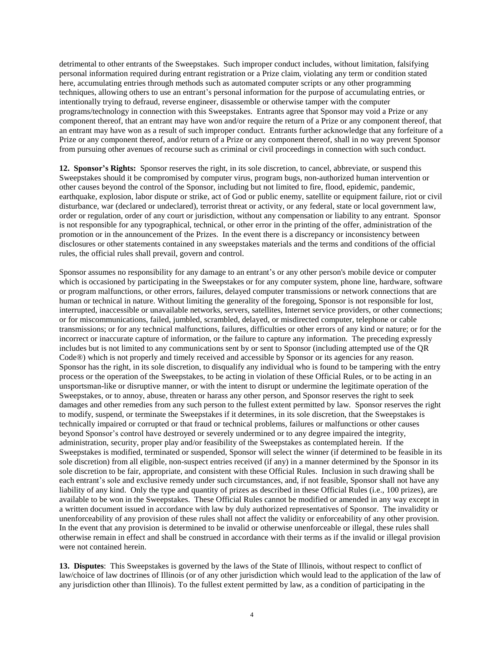detrimental to other entrants of the Sweepstakes. Such improper conduct includes, without limitation, falsifying personal information required during entrant registration or a Prize claim, violating any term or condition stated here, accumulating entries through methods such as automated computer scripts or any other programming techniques, allowing others to use an entrant's personal information for the purpose of accumulating entries, or intentionally trying to defraud, reverse engineer, disassemble or otherwise tamper with the computer programs/technology in connection with this Sweepstakes. Entrants agree that Sponsor may void a Prize or any component thereof, that an entrant may have won and/or require the return of a Prize or any component thereof, that an entrant may have won as a result of such improper conduct. Entrants further acknowledge that any forfeiture of a Prize or any component thereof, and/or return of a Prize or any component thereof, shall in no way prevent Sponsor from pursuing other avenues of recourse such as criminal or civil proceedings in connection with such conduct.

**12. Sponsor's Rights:** Sponsor reserves the right, in its sole discretion, to cancel, abbreviate, or suspend this Sweepstakes should it be compromised by computer virus, program bugs, non-authorized human intervention or other causes beyond the control of the Sponsor, including but not limited to fire, flood, epidemic, pandemic, earthquake, explosion, labor dispute or strike, act of God or public enemy, satellite or equipment failure, riot or civil disturbance, war (declared or undeclared), terrorist threat or activity, or any federal, state or local government law, order or regulation, order of any court or jurisdiction, without any compensation or liability to any entrant. Sponsor is not responsible for any typographical, technical, or other error in the printing of the offer, administration of the promotion or in the announcement of the Prizes. In the event there is a discrepancy or inconsistency between disclosures or other statements contained in any sweepstakes materials and the terms and conditions of the official rules, the official rules shall prevail, govern and control.

Sponsor assumes no responsibility for any damage to an entrant's or any other person's mobile device or computer which is occasioned by participating in the Sweepstakes or for any computer system, phone line, hardware, software or program malfunctions, or other errors, failures, delayed computer transmissions or network connections that are human or technical in nature. Without limiting the generality of the foregoing, Sponsor is not responsible for lost, interrupted, inaccessible or unavailable networks, servers, satellites, Internet service providers, or other connections; or for miscommunications, failed, jumbled, scrambled, delayed, or misdirected computer, telephone or cable transmissions; or for any technical malfunctions, failures, difficulties or other errors of any kind or nature; or for the incorrect or inaccurate capture of information, or the failure to capture any information. The preceding expressly includes but is not limited to any communications sent by or sent to Sponsor (including attempted use of the QR Code®) which is not properly and timely received and accessible by Sponsor or its agencies for any reason. Sponsor has the right, in its sole discretion, to disqualify any individual who is found to be tampering with the entry process or the operation of the Sweepstakes, to be acting in violation of these Official Rules, or to be acting in an unsportsman-like or disruptive manner, or with the intent to disrupt or undermine the legitimate operation of the Sweepstakes, or to annoy, abuse, threaten or harass any other person, and Sponsor reserves the right to seek damages and other remedies from any such person to the fullest extent permitted by law. Sponsor reserves the right to modify, suspend, or terminate the Sweepstakes if it determines, in its sole discretion, that the Sweepstakes is technically impaired or corrupted or that fraud or technical problems, failures or malfunctions or other causes beyond Sponsor's control have destroyed or severely undermined or to any degree impaired the integrity, administration, security, proper play and/or feasibility of the Sweepstakes as contemplated herein. If the Sweepstakes is modified, terminated or suspended, Sponsor will select the winner (if determined to be feasible in its sole discretion) from all eligible, non-suspect entries received (if any) in a manner determined by the Sponsor in its sole discretion to be fair, appropriate, and consistent with these Official Rules. Inclusion in such drawing shall be each entrant's sole and exclusive remedy under such circumstances, and, if not feasible, Sponsor shall not have any liability of any kind. Only the type and quantity of prizes as described in these Official Rules (i.e., 100 prizes), are available to be won in the Sweepstakes. These Official Rules cannot be modified or amended in any way except in a written document issued in accordance with law by duly authorized representatives of Sponsor. The invalidity or unenforceability of any provision of these rules shall not affect the validity or enforceability of any other provision. In the event that any provision is determined to be invalid or otherwise unenforceable or illegal, these rules shall otherwise remain in effect and shall be construed in accordance with their terms as if the invalid or illegal provision were not contained herein.

**13. Disputes**: This Sweepstakes is governed by the laws of the State of Illinois, without respect to conflict of law/choice of law doctrines of Illinois (or of any other jurisdiction which would lead to the application of the law of any jurisdiction other than Illinois). To the fullest extent permitted by law, as a condition of participating in the